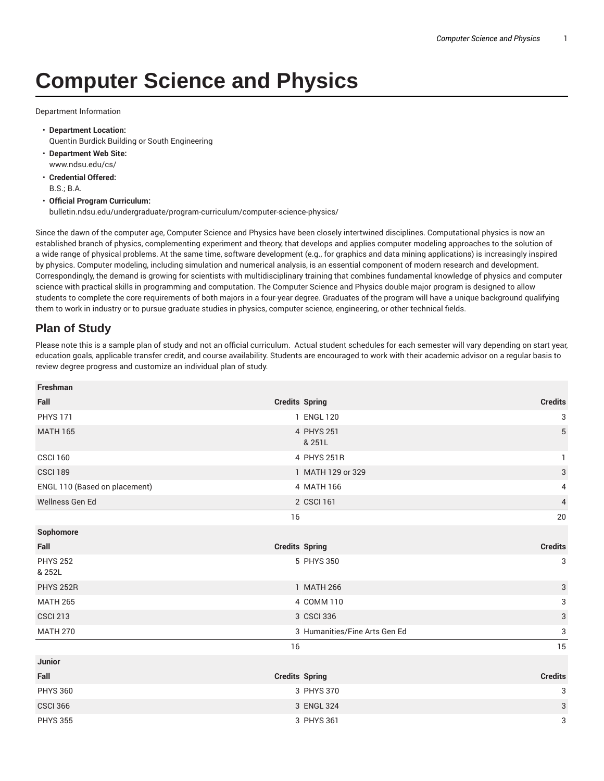## **Computer Science and Physics**

Department Information

- **Department Location:** Quentin Burdick Building or South Engineering
- **Department Web Site:** www.ndsu.edu/cs/
- **Credential Offered:** B.S.; B.A.
- **Official Program Curriculum:** bulletin.ndsu.edu/undergraduate/program-curriculum/computer-science-physics/

Since the dawn of the computer age, Computer Science and Physics have been closely intertwined disciplines. Computational physics is now an established branch of physics, complementing experiment and theory, that develops and applies computer modeling approaches to the solution of a wide range of physical problems. At the same time, software development (e.g., for graphics and data mining applications) is increasingly inspired by physics. Computer modeling, including simulation and numerical analysis, is an essential component of modern research and development. Correspondingly, the demand is growing for scientists with multidisciplinary training that combines fundamental knowledge of physics and computer science with practical skills in programming and computation. The Computer Science and Physics double major program is designed to allow students to complete the core requirements of both majors in a four-year degree. Graduates of the program will have a unique background qualifying them to work in industry or to pursue graduate studies in physics, computer science, engineering, or other technical fields.

## **Plan of Study**

Please note this is a sample plan of study and not an official curriculum. Actual student schedules for each semester will vary depending on start year, education goals, applicable transfer credit, and course availability. Students are encouraged to work with their academic advisor on a regular basis to review degree progress and customize an individual plan of study.

| Freshman                      |                               |                |
|-------------------------------|-------------------------------|----------------|
| Fall                          | <b>Credits Spring</b>         | <b>Credits</b> |
| <b>PHYS 171</b>               | 1 ENGL 120                    | 3              |
| <b>MATH 165</b>               | 4 PHYS 251<br>& 251L          | $\overline{5}$ |
| <b>CSCI 160</b>               | 4 PHYS 251R                   | 1.             |
| <b>CSCI 189</b>               | 1 MATH 129 or 329             | 3              |
| ENGL 110 (Based on placement) | 4 MATH 166                    | 4              |
| Wellness Gen Ed               | 2 CSCI 161                    | $\overline{4}$ |
|                               | 16                            | 20             |
| Sophomore                     |                               |                |
| Fall                          | <b>Credits Spring</b>         | <b>Credits</b> |
| <b>PHYS 252</b><br>& 252L     | 5 PHYS 350                    | 3              |
| <b>PHYS 252R</b>              | 1 MATH 266                    | $\sqrt{3}$     |
| <b>MATH 265</b>               | 4 COMM 110                    | 3              |
| <b>CSCI 213</b>               | 3 CSCI 336                    | 3              |
| <b>MATH 270</b>               | 3 Humanities/Fine Arts Gen Ed | 3              |
|                               | 16                            | 15             |
| <b>Junior</b>                 |                               |                |
| Fall                          | <b>Credits Spring</b>         | <b>Credits</b> |
| <b>PHYS 360</b>               | 3 PHYS 370                    | 3              |
| <b>CSCI 366</b>               | 3 ENGL 324                    | 3              |
| <b>PHYS 355</b>               | 3 PHYS 361                    | 3              |